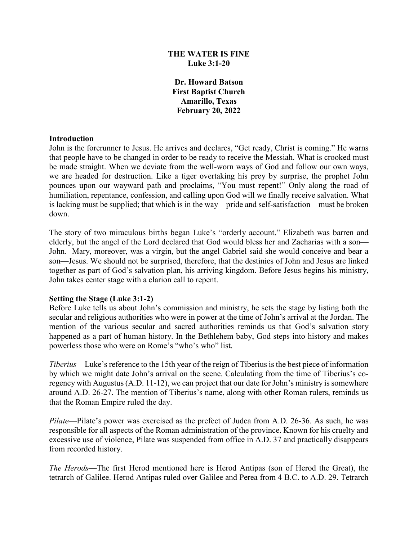## **THE WATER IS FINE Luke 3:1-20**

**Dr. Howard Batson First Baptist Church Amarillo, Texas February 20, 2022**

#### **Introduction**

John is the forerunner to Jesus. He arrives and declares, "Get ready, Christ is coming." He warns that people have to be changed in order to be ready to receive the Messiah. What is crooked must be made straight. When we deviate from the well-worn ways of God and follow our own ways, we are headed for destruction. Like a tiger overtaking his prey by surprise, the prophet John pounces upon our wayward path and proclaims, "You must repent!" Only along the road of humiliation, repentance, confession, and calling upon God will we finally receive salvation. What is lacking must be supplied; that which is in the way—pride and self-satisfaction—must be broken down.

The story of two miraculous births began Luke's "orderly account." Elizabeth was barren and elderly, but the angel of the Lord declared that God would bless her and Zacharias with a son— John. Mary, moreover, was a virgin, but the angel Gabriel said she would conceive and bear a son—Jesus. We should not be surprised, therefore, that the destinies of John and Jesus are linked together as part of God's salvation plan, his arriving kingdom. Before Jesus begins his ministry, John takes center stage with a clarion call to repent.

### **Setting the Stage (Luke 3:1-2)**

Before Luke tells us about John's commission and ministry, he sets the stage by listing both the secular and religious authorities who were in power at the time of John's arrival at the Jordan. The mention of the various secular and sacred authorities reminds us that God's salvation story happened as a part of human history. In the Bethlehem baby, God steps into history and makes powerless those who were on Rome's "who's who" list.

*Tiberius*—Luke's reference to the 15th year of the reign of Tiberius is the best piece of information by which we might date John's arrival on the scene. Calculating from the time of Tiberius's coregency with Augustus (A.D. 11-12), we can project that our date for John's ministry is somewhere around A.D. 26-27. The mention of Tiberius's name, along with other Roman rulers, reminds us that the Roman Empire ruled the day.

*Pilate*—Pilate's power was exercised as the prefect of Judea from A.D. 26-36. As such, he was responsible for all aspects of the Roman administration of the province. Known for his cruelty and excessive use of violence, Pilate was suspended from office in A.D. 37 and practically disappears from recorded history.

*The Herods*—The first Herod mentioned here is Herod Antipas (son of Herod the Great), the tetrarch of Galilee. Herod Antipas ruled over Galilee and Perea from 4 B.C. to A.D. 29. Tetrarch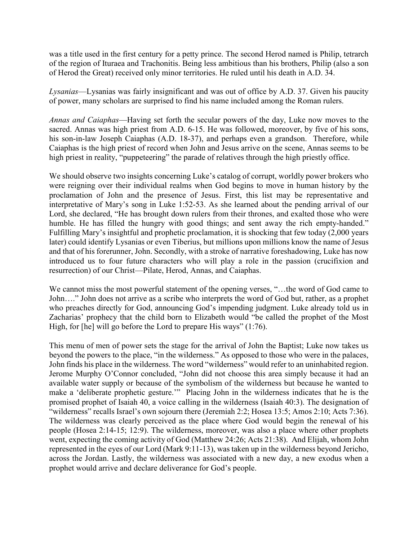was a title used in the first century for a petty prince. The second Herod named is Philip, tetrarch of the region of Ituraea and Trachonitis. Being less ambitious than his brothers, Philip (also a son of Herod the Great) received only minor territories. He ruled until his death in A.D. 34.

*Lysanias*—Lysanias was fairly insignificant and was out of office by A.D. 37. Given his paucity of power, many scholars are surprised to find his name included among the Roman rulers.

*Annas and Caiaphas*—Having set forth the secular powers of the day, Luke now moves to the sacred. Annas was high priest from A.D. 6-15. He was followed, moreover, by five of his sons, his son-in-law Joseph Caiaphas (A.D. 18-37), and perhaps even a grandson. Therefore, while Caiaphas is the high priest of record when John and Jesus arrive on the scene, Annas seems to be high priest in reality, "puppeteering" the parade of relatives through the high priestly office.

We should observe two insights concerning Luke's catalog of corrupt, worldly power brokers who were reigning over their individual realms when God begins to move in human history by the proclamation of John and the presence of Jesus. First, this list may be representative and interpretative of Mary's song in Luke 1:52-53. As she learned about the pending arrival of our Lord, she declared, "He has brought down rulers from their thrones, and exalted those who were humble. He has filled the hungry with good things; and sent away the rich empty-handed." Fulfilling Mary's insightful and prophetic proclamation, it is shocking that few today (2,000 years later) could identify Lysanias or even Tiberius, but millions upon millions know the name of Jesus and that of his forerunner, John. Secondly, with a stroke of narrative foreshadowing, Luke has now introduced us to four future characters who will play a role in the passion (crucifixion and resurrection) of our Christ—Pilate, Herod, Annas, and Caiaphas.

We cannot miss the most powerful statement of the opening verses, "…the word of God came to John…." John does not arrive as a scribe who interprets the word of God but, rather, as a prophet who preaches directly for God, announcing God's impending judgment. Luke already told us in Zacharias' prophecy that the child born to Elizabeth would "be called the prophet of the Most High, for [he] will go before the Lord to prepare His ways" (1:76).

This menu of men of power sets the stage for the arrival of John the Baptist; Luke now takes us beyond the powers to the place, "in the wilderness." As opposed to those who were in the palaces, John finds his place in the wilderness. The word "wilderness" would refer to an uninhabited region. Jerome Murphy O'Connor concluded, "John did not choose this area simply because it had an available water supply or because of the symbolism of the wilderness but because he wanted to make a 'deliberate prophetic gesture.'" Placing John in the wilderness indicates that he is the promised prophet of Isaiah 40, a voice calling in the wilderness (Isaiah 40:3). The designation of "wilderness" recalls Israel's own sojourn there (Jeremiah 2:2; Hosea 13:5; Amos 2:10; Acts 7:36). The wilderness was clearly perceived as the place where God would begin the renewal of his people (Hosea 2:14-15; 12:9). The wilderness, moreover, was also a place where other prophets went, expecting the coming activity of God (Matthew 24:26; Acts 21:38). And Elijah, whom John represented in the eyes of our Lord (Mark 9:11-13), was taken up in the wilderness beyond Jericho, across the Jordan. Lastly, the wilderness was associated with a new day, a new exodus when a prophet would arrive and declare deliverance for God's people.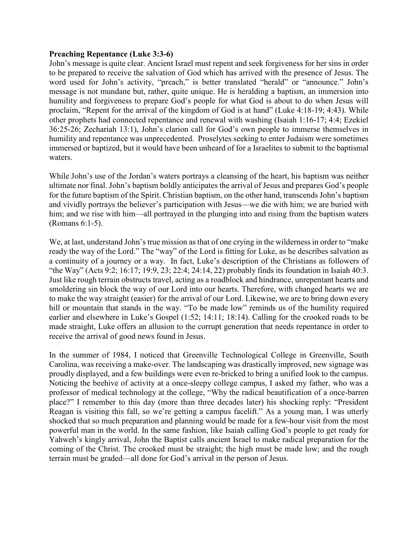#### **Preaching Repentance (Luke 3:3-6)**

John's message is quite clear. Ancient Israel must repent and seek forgiveness for her sins in order to be prepared to receive the salvation of God which has arrived with the presence of Jesus. The word used for John's activity, "preach," is better translated "herald" or "announce." John's message is not mundane but, rather, quite unique. He is heralding a baptism, an immersion into humility and forgiveness to prepare God's people for what God is about to do when Jesus will proclaim, "Repent for the arrival of the kingdom of God is at hand" (Luke 4:18-19; 4:43). While other prophets had connected repentance and renewal with washing (Isaiah 1:16-17; 4:4; Ezekiel 36:25-26; Zechariah 13:1), John's clarion call for God's own people to immerse themselves in humility and repentance was unprecedented. Proselytes seeking to enter Judaism were sometimes immersed or baptized, but it would have been unheard of for a Israelites to submit to the baptismal waters.

While John's use of the Jordan's waters portrays a cleansing of the heart, his baptism was neither ultimate nor final. John's baptism boldly anticipates the arrival of Jesus and prepares God's people for the future baptism of the Spirit. Christian baptism, on the other hand, transcends John's baptism and vividly portrays the believer's participation with Jesus—we die with him; we are buried with him; and we rise with him—all portrayed in the plunging into and rising from the baptism waters (Romans 6:1-5).

We, at last, understand John's true mission as that of one crying in the wilderness in order to "make ready the way of the Lord." The "way" of the Lord is fitting for Luke, as he describes salvation as a continuity of a journey or a way. In fact, Luke's description of the Christians as followers of "the Way" (Acts 9:2; 16:17; 19:9, 23; 22:4; 24:14, 22) probably finds its foundation in Isaiah 40:3. Just like rough terrain obstructs travel, acting as a roadblock and hindrance, unrepentant hearts and smoldering sin block the way of our Lord into our hearts. Therefore, with changed hearts we are to make the way straight (easier) for the arrival of our Lord. Likewise, we are to bring down every hill or mountain that stands in the way. "To be made low" reminds us of the humility required earlier and elsewhere in Luke's Gospel (1:52; 14:11; 18:14). Calling for the crooked roads to be made straight, Luke offers an allusion to the corrupt generation that needs repentance in order to receive the arrival of good news found in Jesus.

In the summer of 1984, I noticed that Greenville Technological College in Greenville, South Carolina, was receiving a make-over. The landscaping was drastically improved, new signage was proudly displayed, and a few buildings were even re-bricked to bring a unified look to the campus. Noticing the beehive of activity at a once-sleepy college campus, I asked my father, who was a professor of medical technology at the college, "Why the radical beautification of a once-barren place?" I remember to this day (more than three decades later) his shocking reply: "President Reagan is visiting this fall, so we're getting a campus facelift." As a young man, I was utterly shocked that so much preparation and planning would be made for a few-hour visit from the most powerful man in the world. In the same fashion, like Isaiah calling God's people to get ready for Yahweh's kingly arrival, John the Baptist calls ancient Israel to make radical preparation for the coming of the Christ. The crooked must be straight; the high must be made low; and the rough terrain must be graded—all done for God's arrival in the person of Jesus.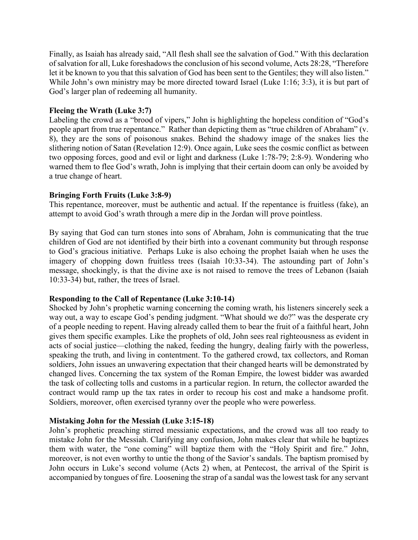Finally, as Isaiah has already said, "All flesh shall see the salvation of God." With this declaration of salvation for all, Luke foreshadows the conclusion of his second volume, Acts 28:28, "Therefore let it be known to you that this salvation of God has been sent to the Gentiles; they will also listen." While John's own ministry may be more directed toward Israel (Luke 1:16; 3:3), it is but part of God's larger plan of redeeming all humanity.

### **Fleeing the Wrath (Luke 3:7)**

Labeling the crowd as a "brood of vipers," John is highlighting the hopeless condition of "God's people apart from true repentance." Rather than depicting them as "true children of Abraham" (v. 8), they are the sons of poisonous snakes. Behind the shadowy image of the snakes lies the slithering notion of Satan (Revelation 12:9). Once again, Luke sees the cosmic conflict as between two opposing forces, good and evil or light and darkness (Luke 1:78-79; 2:8-9). Wondering who warned them to flee God's wrath, John is implying that their certain doom can only be avoided by a true change of heart.

# **Bringing Forth Fruits (Luke 3:8-9)**

This repentance, moreover, must be authentic and actual. If the repentance is fruitless (fake), an attempt to avoid God's wrath through a mere dip in the Jordan will prove pointless.

By saying that God can turn stones into sons of Abraham, John is communicating that the true children of God are not identified by their birth into a covenant community but through response to God's gracious initiative. Perhaps Luke is also echoing the prophet Isaiah when he uses the imagery of chopping down fruitless trees (Isaiah 10:33-34). The astounding part of John's message, shockingly, is that the divine axe is not raised to remove the trees of Lebanon (Isaiah 10:33-34) but, rather, the trees of Israel.

### **Responding to the Call of Repentance (Luke 3:10-14)**

Shocked by John's prophetic warning concerning the coming wrath, his listeners sincerely seek a way out, a way to escape God's pending judgment. "What should we do?" was the desperate cry of a people needing to repent. Having already called them to bear the fruit of a faithful heart, John gives them specific examples. Like the prophets of old, John sees real righteousness as evident in acts of social justice—clothing the naked, feeding the hungry, dealing fairly with the powerless, speaking the truth, and living in contentment. To the gathered crowd, tax collectors, and Roman soldiers, John issues an unwavering expectation that their changed hearts will be demonstrated by changed lives. Concerning the tax system of the Roman Empire, the lowest bidder was awarded the task of collecting tolls and customs in a particular region. In return, the collector awarded the contract would ramp up the tax rates in order to recoup his cost and make a handsome profit. Soldiers, moreover, often exercised tyranny over the people who were powerless.

### **Mistaking John for the Messiah (Luke 3:15-18)**

John's prophetic preaching stirred messianic expectations, and the crowd was all too ready to mistake John for the Messiah. Clarifying any confusion, John makes clear that while he baptizes them with water, the "one coming" will baptize them with the "Holy Spirit and fire." John, moreover, is not even worthy to untie the thong of the Savior's sandals. The baptism promised by John occurs in Luke's second volume (Acts 2) when, at Pentecost, the arrival of the Spirit is accompanied by tongues of fire. Loosening the strap of a sandal was the lowest task for any servant